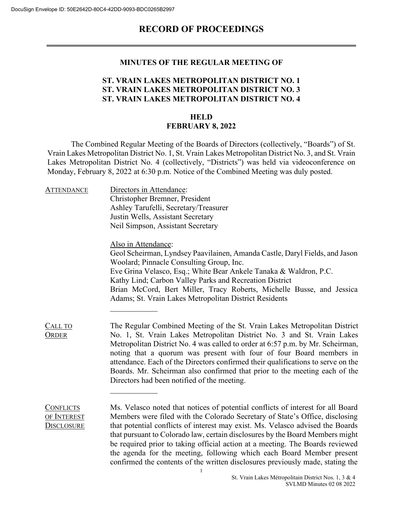#### **MINUTES OF THE REGULAR MEETING OF**

### **ST. VRAIN LAKES METROPOLITAN DISTRICT NO. 1 ST. VRAIN LAKES METROPOLITAN DISTRICT NO. 3 ST. VRAIN LAKES METROPOLITAN DISTRICT NO. 4**

#### **HELD FEBRUARY 8, 2022**

The Combined Regular Meeting of the Boards of Directors (collectively, "Boards") of St. Vrain Lakes Metropolitan District No. 1, St. Vrain Lakes Metropolitan District No. 3, and St. Vrain Lakes Metropolitan District No. 4 (collectively, "Districts") was held via videoconference on Monday, February 8, 2022 at 6:30 p.m. Notice of the Combined Meeting was duly posted.

| <b>ATTENDANCE</b>                                    | Directors in Attendance:<br>Christopher Bremner, President<br>Ashley Tarufelli, Secretary/Treasurer<br>Justin Wells, Assistant Secretary<br>Neil Simpson, Assistant Secretary                                                                                                                                                                                                                                                                                                                                                 |
|------------------------------------------------------|-------------------------------------------------------------------------------------------------------------------------------------------------------------------------------------------------------------------------------------------------------------------------------------------------------------------------------------------------------------------------------------------------------------------------------------------------------------------------------------------------------------------------------|
|                                                      | Also in Attendance:<br>Geol Scheirman, Lyndsey Paavilainen, Amanda Castle, Daryl Fields, and Jason<br>Woolard; Pinnacle Consulting Group, Inc.<br>Eve Grina Velasco, Esq.; White Bear Ankele Tanaka & Waldron, P.C.<br>Kathy Lind; Carbon Valley Parks and Recreation District<br>Brian McCord, Bert Miller, Tracy Roberts, Michelle Busse, and Jessica<br>Adams; St. Vrain Lakes Metropolitan District Residents                                                                                                             |
| <b>CALL TO</b><br>ORDER                              | The Regular Combined Meeting of the St. Vrain Lakes Metropolitan District<br>No. 1, St. Vrain Lakes Metropolitan District No. 3 and St. Vrain Lakes<br>Metropolitan District No. 4 was called to order at 6:57 p.m. by Mr. Scheirman,<br>noting that a quorum was present with four of four Board members in<br>attendance. Each of the Directors confirmed their qualifications to serve on the<br>Boards. Mr. Scheirman also confirmed that prior to the meeting each of the<br>Directors had been notified of the meeting. |
| <b>CONFLICTS</b><br>OF INTEREST<br><b>DISCLOSURE</b> | Ms. Velasco noted that notices of potential conflicts of interest for all Board<br>Members were filed with the Colorado Secretary of State's Office, disclosing<br>that potential conflicts of interest may exist. Ms. Velasco advised the Boards<br>that pursuant to Colorado law, certain disclosures by the Board Members might<br>be required prior to taking official action at a meeting. The Boards reviewed                                                                                                           |

the agenda for the meeting, following which each Board Member present confirmed the contents of the written disclosures previously made, stating the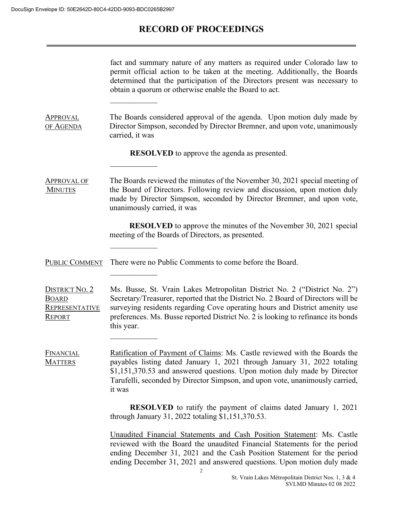|                                                                                 | fact and summary nature of any matters as required under Colorado law to<br>permit official action to be taken at the meeting. Additionally, the Boards<br>determined that the participation of the Directors present was necessary to<br>obtain a quorum or otherwise enable the Board to act.                                                |
|---------------------------------------------------------------------------------|------------------------------------------------------------------------------------------------------------------------------------------------------------------------------------------------------------------------------------------------------------------------------------------------------------------------------------------------|
| <u>Approval</u><br>OF AGENDA                                                    | The Boards considered approval of the agenda. Upon motion duly made by<br>Director Simpson, seconded by Director Bremner, and upon vote, unanimously<br>carried, it was                                                                                                                                                                        |
|                                                                                 | <b>RESOLVED</b> to approve the agenda as presented.                                                                                                                                                                                                                                                                                            |
| <u>Approval of</u><br><b>MINUTES</b>                                            | The Boards reviewed the minutes of the November 30, 2021 special meeting of<br>the Board of Directors. Following review and discussion, upon motion duly<br>made by Director Simpson, seconded by Director Bremner, and upon vote,<br>unanimously carried, it was                                                                              |
|                                                                                 | <b>RESOLVED</b> to approve the minutes of the November 30, 2021 special<br>meeting of the Boards of Directors, as presented.                                                                                                                                                                                                                   |
| PUBLIC COMMENT                                                                  | There were no Public Comments to come before the Board.                                                                                                                                                                                                                                                                                        |
| <u>District No. 2</u><br><u>Board</u><br><u>REPRESENTATIVE</u><br><u>Report</u> | Ms. Busse, St. Vrain Lakes Metropolitan District No. 2 ("District No. 2")<br>Secretary/Treasurer, reported that the District No. 2 Board of Directors will be<br>surveying residents regarding Cove operating hours and District amenity use<br>preferences. Ms. Busse reported District No. 2 is looking to refinance its bonds<br>this year. |
| Financial<br><u>MATTERS</u>                                                     | Ratification of Payment of Claims: Ms. Castle reviewed with the Boards the<br>payables listing dated January 1, 2021 through January 31, 2022 totaling<br>\$1,151,370.53 and answered questions. Upon motion duly made by Director<br>Tarufelli, seconded by Director Simpson, and upon vote, unanimously carried,<br>it was                   |
|                                                                                 | <b>RESOLVED</b> to ratify the payment of claims dated January 1, 2021<br>through January 31, 2022 totaling \$1,151,370.53.                                                                                                                                                                                                                     |
|                                                                                 | Unaudited Financial Statements and Cash Position Statement: Ms. Castle<br>reviewed with the Board the unaudited Financial Statements for the period<br>ending December 31, 2021 and the Cash Position Statement for the period<br>ending December 31, 2021 and answered questions. Upon motion duly made                                       |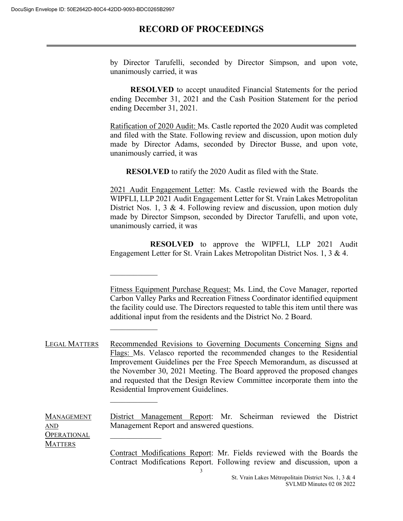by Director Tarufelli, seconded by Director Simpson, and upon vote, unanimously carried, it was

**RESOLVED** to accept unaudited Financial Statements for the period ending December 31, 2021 and the Cash Position Statement for the period ending December 31, 2021.

Ratification of 2020 Audit: Ms. Castle reported the 2020 Audit was completed and filed with the State. Following review and discussion, upon motion duly made by Director Adams, seconded by Director Busse, and upon vote, unanimously carried, it was

**RESOLVED** to ratify the 2020 Audit as filed with the State.

2021 Audit Engagement Letter: Ms. Castle reviewed with the Boards the WIPFLI, LLP 2021 Audit Engagement Letter for St. Vrain Lakes Metropolitan District Nos. 1, 3 & 4. Following review and discussion, upon motion duly made by Director Simpson, seconded by Director Tarufelli, and upon vote, unanimously carried, it was

 **RESOLVED** to approve the WIPFLI, LLP 2021 Audit Engagement Letter for St. Vrain Lakes Metropolitan District Nos. 1, 3 & 4.

Fitness Equipment Purchase Request: Ms. Lind, the Cove Manager, reported Carbon Valley Parks and Recreation Fitness Coordinator identified equipment the facility could use. The Directors requested to table this item until there was additional input from the residents and the District No. 2 Board.

LEGAL MATTERS Recommended Revisions to Governing Documents Concerning Signs and Flags: Ms. Velasco reported the recommended changes to the Residential Improvement Guidelines per the Free Speech Memorandum, as discussed at the November 30, 2021 Meeting. The Board approved the proposed changes and requested that the Design Review Committee incorporate them into the Residential Improvement Guidelines.

 $\overline{\phantom{a}}$ 

 $\overline{\phantom{a}}$ 

MANAGEMENT AND **OPERATIONAL MATTERS** District Management Report: Mr. Scheirman reviewed the District Management Report and answered questions.  $\overline{\phantom{a}}$ 

Contract Modifications Report: Mr. Fields reviewed with the Boards the Contract Modifications Report. Following review and discussion, upon a